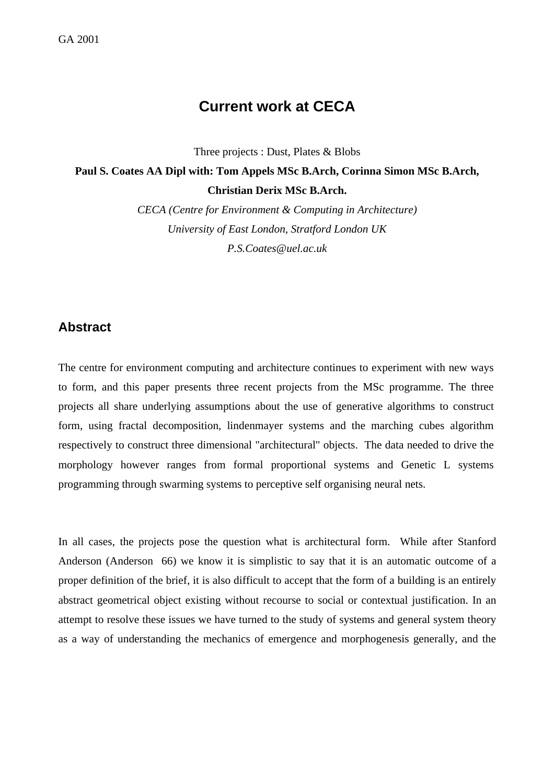# **Current work at CECA**

Three projects : Dust, Plates & Blobs

## **Paul S. Coates AA Dipl with: Tom Appels MSc B.Arch, Corinna Simon MSc B.Arch, Christian Derix MSc B.Arch.**

*CECA (Centre for Environment & Computing in Architecture) University of East London, Stratford London UK P.S.Coates@uel.ac.uk*

### **Abstract**

The centre for environment computing and architecture continues to experiment with new ways to form, and this paper presents three recent projects from the MSc programme. The three projects all share underlying assumptions about the use of generative algorithms to construct form, using fractal decomposition, lindenmayer systems and the marching cubes algorithm respectively to construct three dimensional "architectural" objects. The data needed to drive the morphology however ranges from formal proportional systems and Genetic L systems programming through swarming systems to perceptive self organising neural nets.

In all cases, the projects pose the question what is architectural form. While after Stanford Anderson (Anderson 66) we know it is simplistic to say that it is an automatic outcome of a proper definition of the brief, it is also difficult to accept that the form of a building is an entirely abstract geometrical object existing without recourse to social or contextual justification. In an attempt to resolve these issues we have turned to the study of systems and general system theory as a way of understanding the mechanics of emergence and morphogenesis generally, and the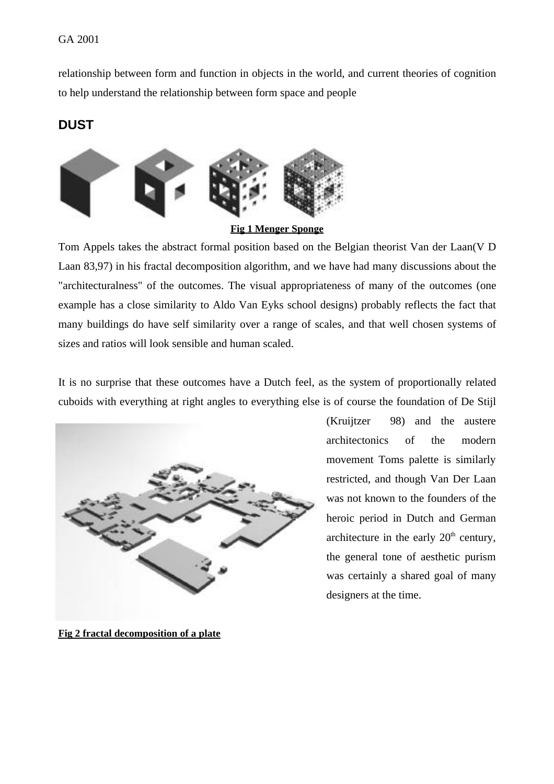relationship between form and function in objects in the world, and current theories of cognition to help understand the relationship between form space and people

### **DUST**



Tom Appels takes the abstract formal position based on the Belgian theorist Van der Laan(V D Laan 83,97) in his fractal decomposition algorithm, and we have had many discussions about the "architecturalness" of the outcomes. The visual appropriateness of many of the outcomes (one example has a close similarity to Aldo Van Eyks school designs) probably reflects the fact that many buildings do have self similarity over a range of scales, and that well chosen systems of sizes and ratios will look sensible and human scaled.

It is no surprise that these outcomes have a Dutch feel, as the system of proportionally related cuboids with everything at right angles to everything else is of course the foundation of De Stijl



(Kruijtzer 98) and the austere architectonics of the modern movement Toms palette is similarly restricted, and though Van Der Laan was not known to the founders of the heroic period in Dutch and German architecture in the early  $20<sup>th</sup>$  century, the general tone of aesthetic purism was certainly a shared goal of many designers at the time.

**Fig 2 fractal decomposition of a plate**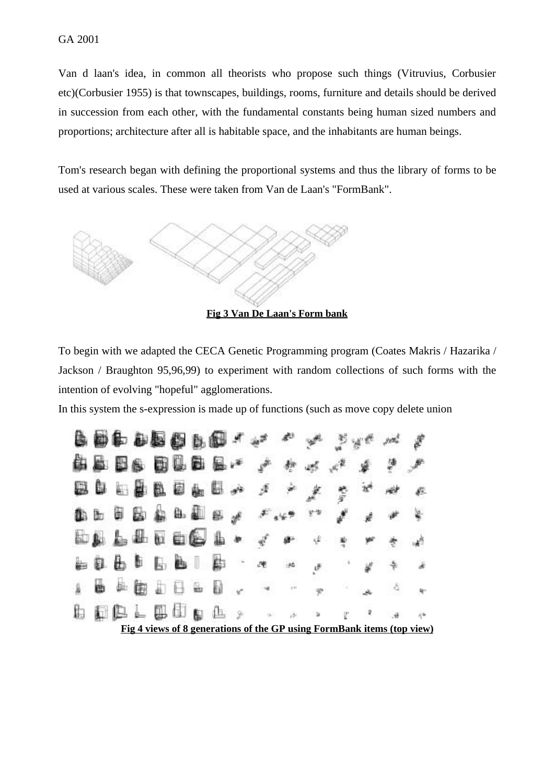Van d laan's idea, in common all theorists who propose such things (Vitruvius, Corbusier etc)(Corbusier 1955) is that townscapes, buildings, rooms, furniture and details should be derived in succession from each other, with the fundamental constants being human sized numbers and proportions; architecture after all is habitable space, and the inhabitants are human beings.

Tom's research began with defining the proportional systems and thus the library of forms to be used at various scales. These were taken from Van de Laan's "FormBank".



**Fig 3 Van De Laan's Form bank**

To begin with we adapted the CECA Genetic Programming program (Coates Makris / Hazarika / Jackson / Braughton 95,96,99) to experiment with random collections of such forms with the intention of evolving "hopeful" agglomerations.

In this system the s-expression is made up of functions (such as move copy delete union

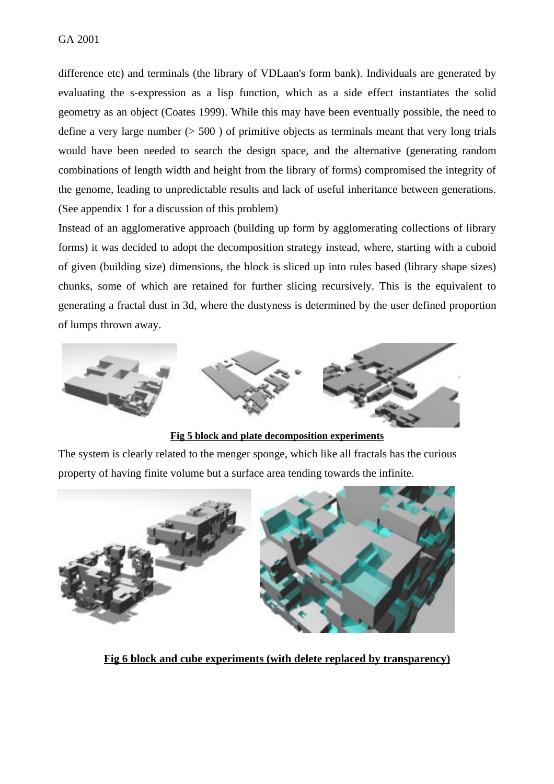difference etc) and terminals (the library of VDLaan's form bank). Individuals are generated by evaluating the s-expression as a lisp function, which as a side effect instantiates the solid geometry as an object (Coates 1999). While this may have been eventually possible, the need to define a very large number  $(500)$  of primitive objects as terminals meant that very long trials would have been needed to search the design space, and the alternative (generating random combinations of length width and height from the library of forms) compromised the integrity of the genome, leading to unpredictable results and lack of useful inheritance between generations. (See appendix 1 for a discussion of this problem)

Instead of an agglomerative approach (building up form by agglomerating collections of library forms) it was decided to adopt the decomposition strategy instead, where, starting with a cuboid of given (building size) dimensions, the block is sliced up into rules based (library shape sizes) chunks, some of which are retained for further slicing recursively. This is the equivalent to generating a fractal dust in 3d, where the dustyness is determined by the user defined proportion of lumps thrown away.



**Fig 5 block and plate decomposition experiments**

The system is clearly related to the menger sponge, which like all fractals has the curious property of having finite volume but a surface area tending towards the infinite.



**Fig 6 block and cube experiments (with delete replaced by transparency)**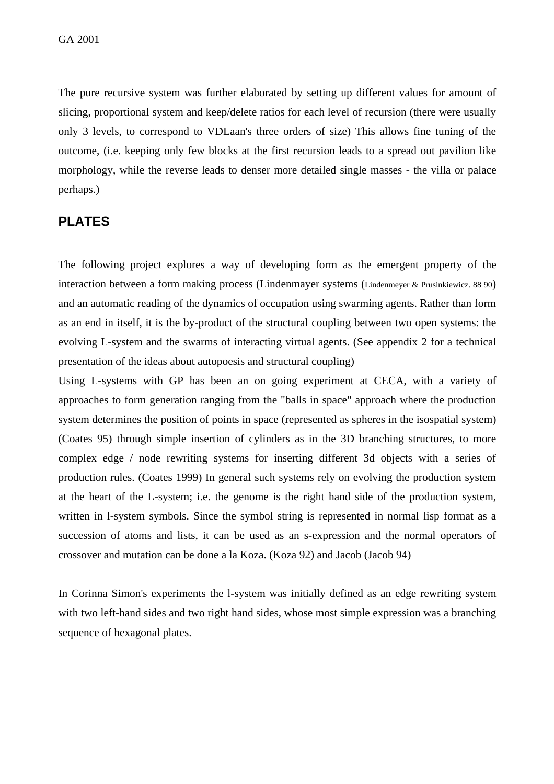The pure recursive system was further elaborated by setting up different values for amount of slicing, proportional system and keep/delete ratios for each level of recursion (there were usually only 3 levels, to correspond to VDLaan's three orders of size) This allows fine tuning of the outcome, (i.e. keeping only few blocks at the first recursion leads to a spread out pavilion like morphology, while the reverse leads to denser more detailed single masses - the villa or palace perhaps.)

## **PLATES**

The following project explores a way of developing form as the emergent property of the interaction between a form making process (Lindenmayer systems (Lindenmeyer & Prusinkiewicz. 88 90) and an automatic reading of the dynamics of occupation using swarming agents. Rather than form as an end in itself, it is the by-product of the structural coupling between two open systems: the evolving L-system and the swarms of interacting virtual agents. (See appendix 2 for a technical presentation of the ideas about autopoesis and structural coupling)

Using L-systems with GP has been an on going experiment at CECA, with a variety of approaches to form generation ranging from the "balls in space" approach where the production system determines the position of points in space (represented as spheres in the isospatial system) (Coates 95) through simple insertion of cylinders as in the 3D branching structures, to more complex edge / node rewriting systems for inserting different 3d objects with a series of production rules. (Coates 1999) In general such systems rely on evolving the production system at the heart of the L-system; i.e. the genome is the right hand side of the production system, written in l-system symbols. Since the symbol string is represented in normal lisp format as a succession of atoms and lists, it can be used as an s-expression and the normal operators of crossover and mutation can be done a la Koza. (Koza 92) and Jacob (Jacob 94)

In Corinna Simon's experiments the l-system was initially defined as an edge rewriting system with two left-hand sides and two right hand sides, whose most simple expression was a branching sequence of hexagonal plates.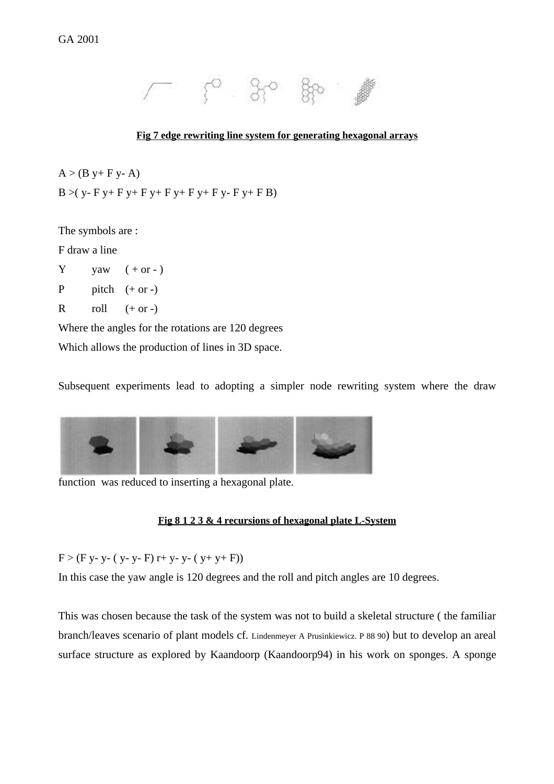

#### **Fig 7 edge rewriting line system for generating hexagonal arrays**

 $A > (B y + F y - A)$  $B > (y - F y + F y + F y + F y + F y + F y - F y + F B)$ 

The symbols are :

F draw a line

 $Y$  yaw  $(+ or -)$ 

P pitch  $(+ or -)$ 

R roll  $(+ or -)$ 

Where the angles for the rotations are 120 degrees

Which allows the production of lines in 3D space.

Subsequent experiments lead to adopting a simpler node rewriting system where the draw



function was reduced to inserting a hexagonal plate.

#### **Fig 8 1 2 3 & 4 recursions of hexagonal plate L-System**

 $F > (F y - y - (y - y - F) r + y - y - (y + y + F))$ 

In this case the yaw angle is 120 degrees and the roll and pitch angles are 10 degrees.

This was chosen because the task of the system was not to build a skeletal structure ( the familiar branch/leaves scenario of plant models cf. Lindenmeyer A Prusinkiewicz. P 88 90) but to develop an areal surface structure as explored by Kaandoorp (Kaandoorp94) in his work on sponges. A sponge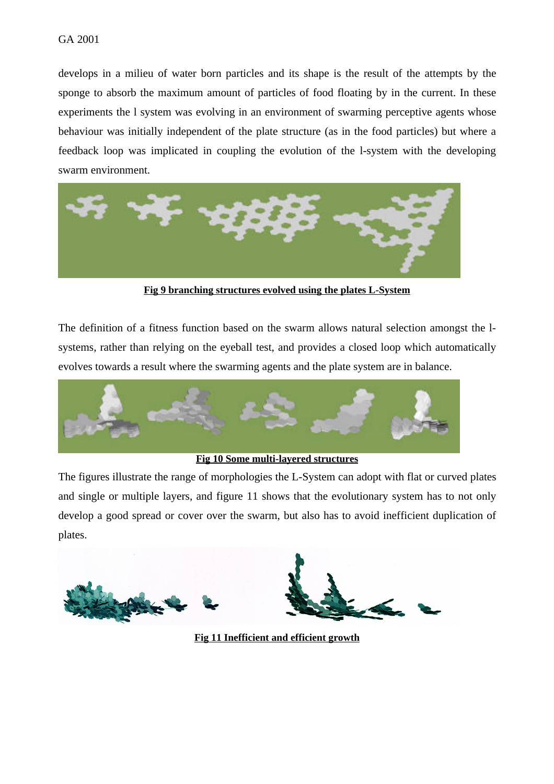develops in a milieu of water born particles and its shape is the result of the attempts by the sponge to absorb the maximum amount of particles of food floating by in the current. In these experiments the l system was evolving in an environment of swarming perceptive agents whose behaviour was initially independent of the plate structure (as in the food particles) but where a feedback loop was implicated in coupling the evolution of the l-system with the developing swarm environment.



**Fig 9 branching structures evolved using the plates L-System**

The definition of a fitness function based on the swarm allows natural selection amongst the lsystems, rather than relying on the eyeball test, and provides a closed loop which automatically evolves towards a result where the swarming agents and the plate system are in balance.



#### **Fig 10 Some multi-layered structures**

The figures illustrate the range of morphologies the L-System can adopt with flat or curved plates and single or multiple layers, and figure 11 shows that the evolutionary system has to not only develop a good spread or cover over the swarm, but also has to avoid inefficient duplication of plates.



**Fig 11 Inefficient and efficient growth**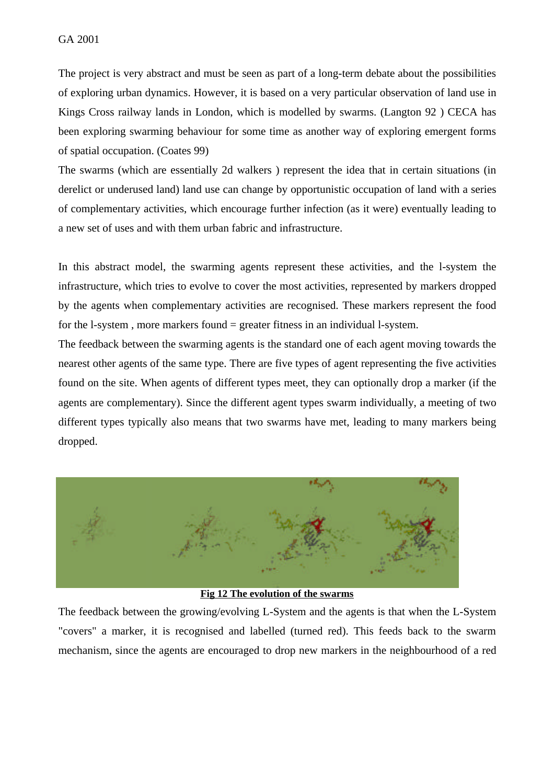The project is very abstract and must be seen as part of a long-term debate about the possibilities of exploring urban dynamics. However, it is based on a very particular observation of land use in Kings Cross railway lands in London, which is modelled by swarms. (Langton 92 ) CECA has been exploring swarming behaviour for some time as another way of exploring emergent forms of spatial occupation. (Coates 99)

The swarms (which are essentially 2d walkers ) represent the idea that in certain situations (in derelict or underused land) land use can change by opportunistic occupation of land with a series of complementary activities, which encourage further infection (as it were) eventually leading to a new set of uses and with them urban fabric and infrastructure.

In this abstract model, the swarming agents represent these activities, and the l-system the infrastructure, which tries to evolve to cover the most activities, represented by markers dropped by the agents when complementary activities are recognised. These markers represent the food for the l-system, more markers found  $=$  greater fitness in an individual l-system.

The feedback between the swarming agents is the standard one of each agent moving towards the nearest other agents of the same type. There are five types of agent representing the five activities found on the site. When agents of different types meet, they can optionally drop a marker (if the agents are complementary). Since the different agent types swarm individually, a meeting of two different types typically also means that two swarms have met, leading to many markers being dropped.



### **Fig 12 The evolution of the swarms**

The feedback between the growing/evolving L-System and the agents is that when the L-System "covers" a marker, it is recognised and labelled (turned red). This feeds back to the swarm mechanism, since the agents are encouraged to drop new markers in the neighbourhood of a red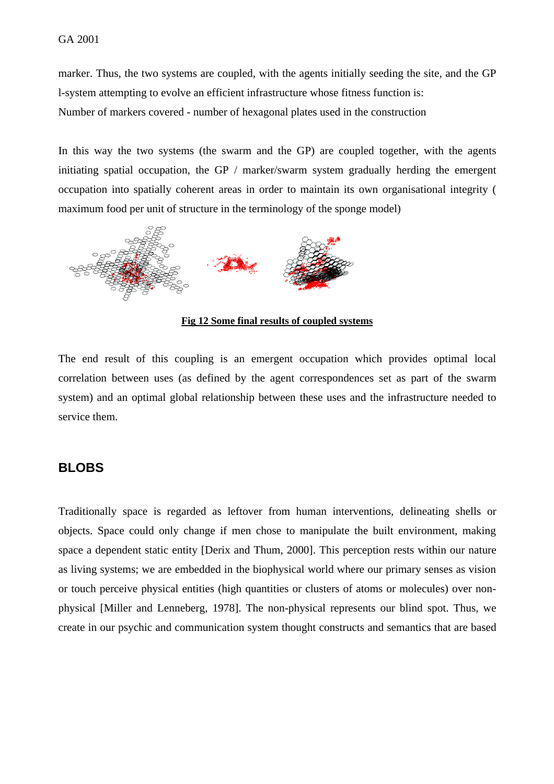marker. Thus, the two systems are coupled, with the agents initially seeding the site, and the GP l-system attempting to evolve an efficient infrastructure whose fitness function is: Number of markers covered - number of hexagonal plates used in the construction

In this way the two systems (the swarm and the GP) are coupled together, with the agents initiating spatial occupation, the GP / marker/swarm system gradually herding the emergent occupation into spatially coherent areas in order to maintain its own organisational integrity ( maximum food per unit of structure in the terminology of the sponge model)



**Fig 12 Some final results of coupled systems**

The end result of this coupling is an emergent occupation which provides optimal local correlation between uses (as defined by the agent correspondences set as part of the swarm system) and an optimal global relationship between these uses and the infrastructure needed to service them.

### **BLOBS**

Traditionally space is regarded as leftover from human interventions, delineating shells or objects. Space could only change if men chose to manipulate the built environment, making space a dependent static entity [Derix and Thum, 2000]. This perception rests within our nature as living systems; we are embedded in the biophysical world where our primary senses as vision or touch perceive physical entities (high quantities or clusters of atoms or molecules) over nonphysical [Miller and Lenneberg, 1978]. The non-physical represents our blind spot. Thus, we create in our psychic and communication system thought constructs and semantics that are based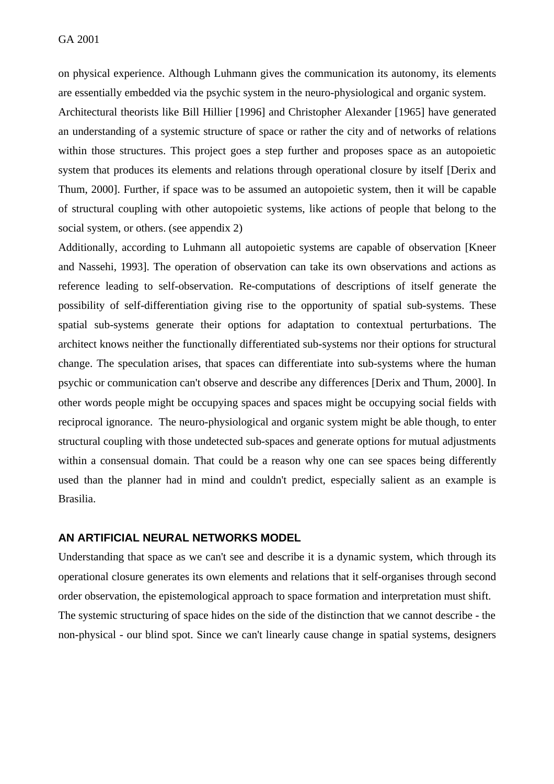on physical experience. Although Luhmann gives the communication its autonomy, its elements are essentially embedded via the psychic system in the neuro-physiological and organic system.

Architectural theorists like Bill Hillier [1996] and Christopher Alexander [1965] have generated an understanding of a systemic structure of space or rather the city and of networks of relations within those structures. This project goes a step further and proposes space as an autopoietic system that produces its elements and relations through operational closure by itself [Derix and Thum, 2000]. Further, if space was to be assumed an autopoietic system, then it will be capable of structural coupling with other autopoietic systems, like actions of people that belong to the social system, or others. (see appendix 2)

Additionally, according to Luhmann all autopoietic systems are capable of observation [Kneer and Nassehi, 1993]. The operation of observation can take its own observations and actions as reference leading to self-observation. Re-computations of descriptions of itself generate the possibility of self-differentiation giving rise to the opportunity of spatial sub-systems. These spatial sub-systems generate their options for adaptation to contextual perturbations. The architect knows neither the functionally differentiated sub-systems nor their options for structural change. The speculation arises, that spaces can differentiate into sub-systems where the human psychic or communication can't observe and describe any differences [Derix and Thum, 2000]. In other words people might be occupying spaces and spaces might be occupying social fields with reciprocal ignorance. The neuro-physiological and organic system might be able though, to enter structural coupling with those undetected sub-spaces and generate options for mutual adjustments within a consensual domain. That could be a reason why one can see spaces being differently used than the planner had in mind and couldn't predict, especially salient as an example is Brasilia.

#### **AN ARTIFICIAL NEURAL NETWORKS MODEL**

Understanding that space as we can't see and describe it is a dynamic system, which through its operational closure generates its own elements and relations that it self-organises through second order observation, the epistemological approach to space formation and interpretation must shift. The systemic structuring of space hides on the side of the distinction that we cannot describe - the non-physical - our blind spot. Since we can't linearly cause change in spatial systems, designers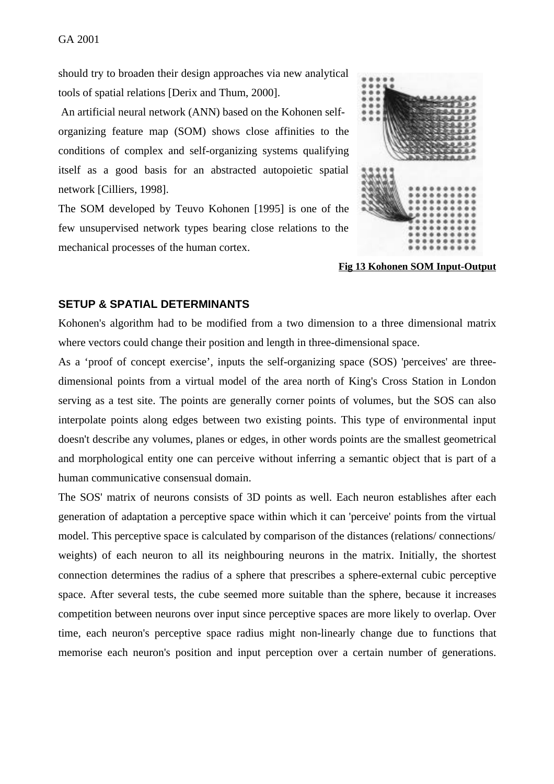should try to broaden their design approaches via new analytical tools of spatial relations [Derix and Thum, 2000].

 An artificial neural network (ANN) based on the Kohonen selforganizing feature map (SOM) shows close affinities to the conditions of complex and self-organizing systems qualifying itself as a good basis for an abstracted autopoietic spatial network [Cilliers, 1998].

The SOM developed by Teuvo Kohonen [1995] is one of the few unsupervised network types bearing close relations to the mechanical processes of the human cortex.



**Fig 13 Kohonen SOM Input-Output**

#### **SETUP & SPATIAL DETERMINANTS**

Kohonen's algorithm had to be modified from a two dimension to a three dimensional matrix where vectors could change their position and length in three-dimensional space.

As a 'proof of concept exercise', inputs the self-organizing space (SOS) 'perceives' are threedimensional points from a virtual model of the area north of King's Cross Station in London serving as a test site. The points are generally corner points of volumes, but the SOS can also interpolate points along edges between two existing points. This type of environmental input doesn't describe any volumes, planes or edges, in other words points are the smallest geometrical and morphological entity one can perceive without inferring a semantic object that is part of a human communicative consensual domain.

The SOS' matrix of neurons consists of 3D points as well. Each neuron establishes after each generation of adaptation a perceptive space within which it can 'perceive' points from the virtual model. This perceptive space is calculated by comparison of the distances (relations/ connections/ weights) of each neuron to all its neighbouring neurons in the matrix. Initially, the shortest connection determines the radius of a sphere that prescribes a sphere-external cubic perceptive space. After several tests, the cube seemed more suitable than the sphere, because it increases competition between neurons over input since perceptive spaces are more likely to overlap. Over time, each neuron's perceptive space radius might non-linearly change due to functions that memorise each neuron's position and input perception over a certain number of generations.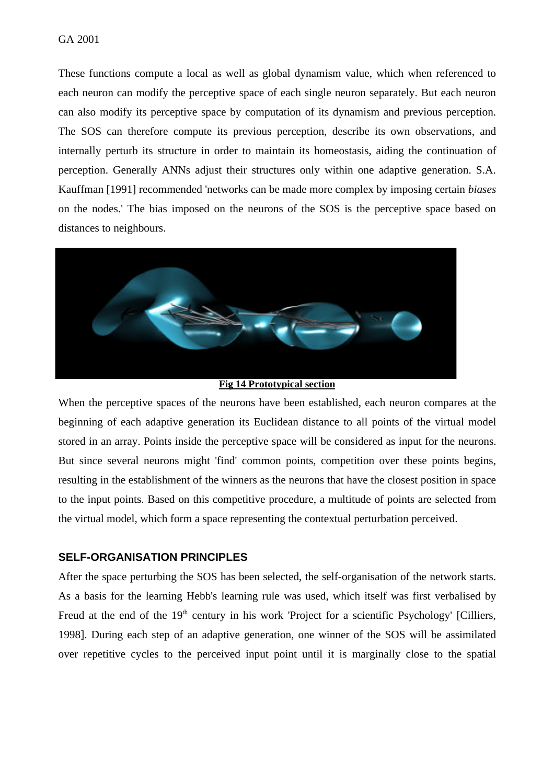#### GA 2001

These functions compute a local as well as global dynamism value, which when referenced to each neuron can modify the perceptive space of each single neuron separately. But each neuron can also modify its perceptive space by computation of its dynamism and previous perception. The SOS can therefore compute its previous perception, describe its own observations, and internally perturb its structure in order to maintain its homeostasis, aiding the continuation of perception. Generally ANNs adjust their structures only within one adaptive generation. S.A. Kauffman [1991] recommended 'networks can be made more complex by imposing certain *biases* on the nodes.' The bias imposed on the neurons of the SOS is the perceptive space based on distances to neighbours.



**Fig 14 Prototypical section**

When the perceptive spaces of the neurons have been established, each neuron compares at the beginning of each adaptive generation its Euclidean distance to all points of the virtual model stored in an array. Points inside the perceptive space will be considered as input for the neurons. But since several neurons might 'find' common points, competition over these points begins, resulting in the establishment of the winners as the neurons that have the closest position in space to the input points. Based on this competitive procedure, a multitude of points are selected from the virtual model, which form a space representing the contextual perturbation perceived.

#### **SELF-ORGANISATION PRINCIPLES**

After the space perturbing the SOS has been selected, the self-organisation of the network starts. As a basis for the learning Hebb's learning rule was used, which itself was first verbalised by Freud at the end of the  $19<sup>th</sup>$  century in his work 'Project for a scientific Psychology' [Cilliers, 1998]. During each step of an adaptive generation, one winner of the SOS will be assimilated over repetitive cycles to the perceived input point until it is marginally close to the spatial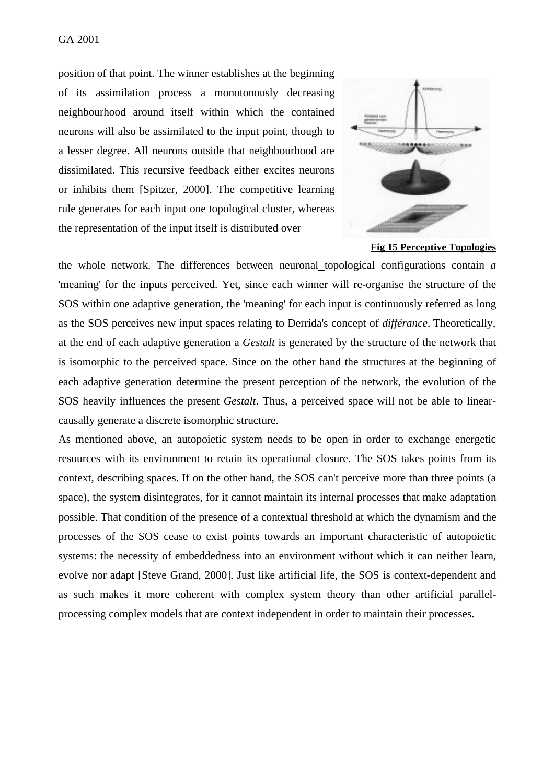position of that point. The winner establishes at the beginning of its assimilation process a monotonously decreasing neighbourhood around itself within which the contained neurons will also be assimilated to the input point, though to a lesser degree. All neurons outside that neighbourhood are dissimilated. This recursive feedback either excites neurons or inhibits them [Spitzer, 2000]. The competitive learning rule generates for each input one topological cluster, whereas the representation of the input itself is distributed over



**Fig 15 Perceptive Topologies**

the whole network. The differences between neuronal topological configurations contain *a* 'meaning' for the inputs perceived. Yet, since each winner will re-organise the structure of the SOS within one adaptive generation, the 'meaning' for each input is continuously referred as long as the SOS perceives new input spaces relating to Derrida's concept of *différance*. Theoretically, at the end of each adaptive generation a *Gestalt* is generated by the structure of the network that is isomorphic to the perceived space. Since on the other hand the structures at the beginning of each adaptive generation determine the present perception of the network, the evolution of the SOS heavily influences the present *Gestalt*. Thus, a perceived space will not be able to linearcausally generate a discrete isomorphic structure.

As mentioned above, an autopoietic system needs to be open in order to exchange energetic resources with its environment to retain its operational closure. The SOS takes points from its context, describing spaces. If on the other hand, the SOS can't perceive more than three points (a space), the system disintegrates, for it cannot maintain its internal processes that make adaptation possible. That condition of the presence of a contextual threshold at which the dynamism and the processes of the SOS cease to exist points towards an important characteristic of autopoietic systems: the necessity of embeddedness into an environment without which it can neither learn, evolve nor adapt [Steve Grand, 2000]. Just like artificial life, the SOS is context-dependent and as such makes it more coherent with complex system theory than other artificial parallelprocessing complex models that are context independent in order to maintain their processes.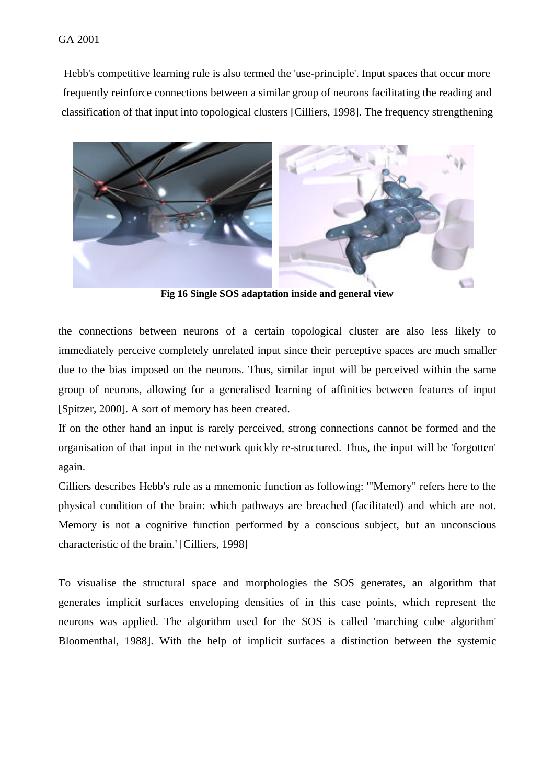#### GA 2001

Hebb's competitive learning rule is also termed the 'use-principle'. Input spaces that occur more frequently reinforce connections between a similar group of neurons facilitating the reading and classification of that input into topological clusters [Cilliers, 1998]. The frequency strengthening



**Fig 16 Single SOS adaptation inside and general view**

the connections between neurons of a certain topological cluster are also less likely to immediately perceive completely unrelated input since their perceptive spaces are much smaller due to the bias imposed on the neurons. Thus, similar input will be perceived within the same group of neurons, allowing for a generalised learning of affinities between features of input [Spitzer, 2000]. A sort of memory has been created.

If on the other hand an input is rarely perceived, strong connections cannot be formed and the organisation of that input in the network quickly re-structured. Thus, the input will be 'forgotten' again.

Cilliers describes Hebb's rule as a mnemonic function as following: '"Memory" refers here to the physical condition of the brain: which pathways are breached (facilitated) and which are not. Memory is not a cognitive function performed by a conscious subject, but an unconscious characteristic of the brain.' [Cilliers, 1998]

To visualise the structural space and morphologies the SOS generates, an algorithm that generates implicit surfaces enveloping densities of in this case points, which represent the neurons was applied. The algorithm used for the SOS is called 'marching cube algorithm' Bloomenthal, 1988]. With the help of implicit surfaces a distinction between the systemic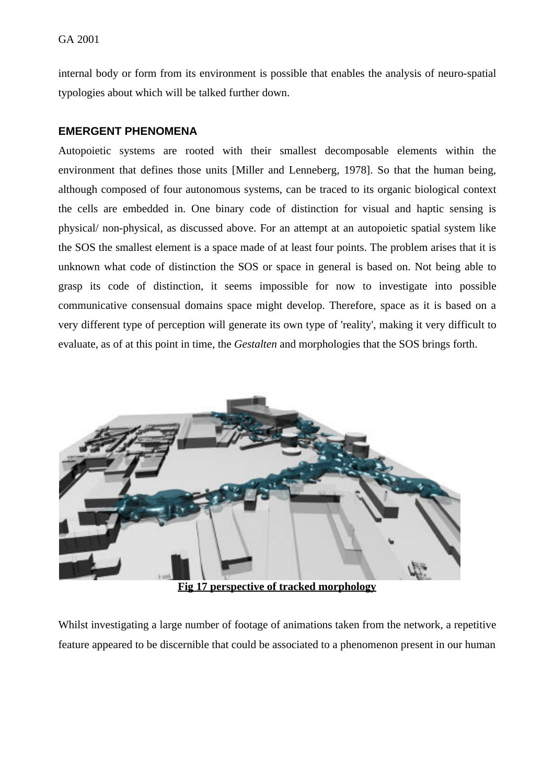internal body or form from its environment is possible that enables the analysis of neuro-spatial typologies about which will be talked further down.

### **EMERGENT PHENOMENA**

Autopoietic systems are rooted with their smallest decomposable elements within the environment that defines those units [Miller and Lenneberg, 1978]. So that the human being, although composed of four autonomous systems, can be traced to its organic biological context the cells are embedded in. One binary code of distinction for visual and haptic sensing is physical/ non-physical, as discussed above. For an attempt at an autopoietic spatial system like the SOS the smallest element is a space made of at least four points. The problem arises that it is unknown what code of distinction the SOS or space in general is based on. Not being able to grasp its code of distinction, it seems impossible for now to investigate into possible communicative consensual domains space might develop. Therefore, space as it is based on a very different type of perception will generate its own type of 'reality', making it very difficult to evaluate, as of at this point in time, the *Gestalten* and morphologies that the SOS brings forth.



**Fig 17 perspective of tracked morphology**

Whilst investigating a large number of footage of animations taken from the network, a repetitive feature appeared to be discernible that could be associated to a phenomenon present in our human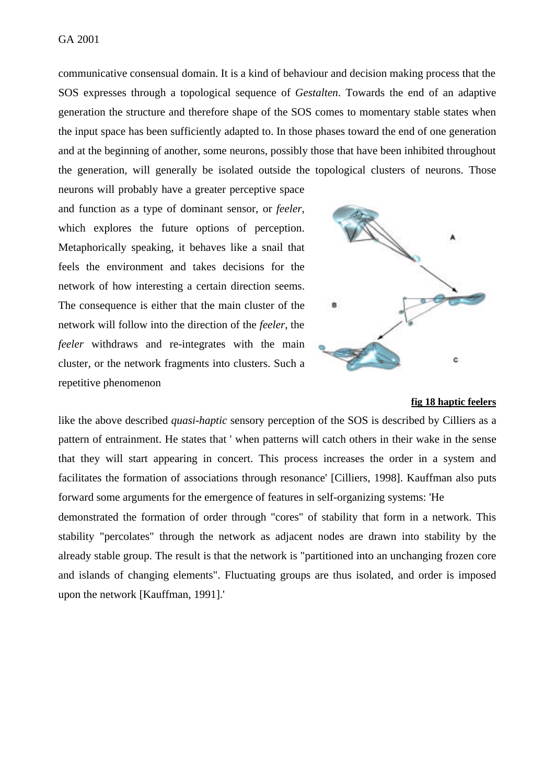communicative consensual domain. It is a kind of behaviour and decision making process that the SOS expresses through a topological sequence of *Gestalten*. Towards the end of an adaptive generation the structure and therefore shape of the SOS comes to momentary stable states when the input space has been sufficiently adapted to. In those phases toward the end of one generation and at the beginning of another, some neurons, possibly those that have been inhibited throughout the generation, will generally be isolated outside the topological clusters of neurons. Those

neurons will probably have a greater perceptive space and function as a type of dominant sensor, or *feeler*, which explores the future options of perception. Metaphorically speaking, it behaves like a snail that feels the environment and takes decisions for the network of how interesting a certain direction seems. The consequence is either that the main cluster of the network will follow into the direction of the *feeler*, the *feeler* withdraws and re-integrates with the main cluster, or the network fragments into clusters. Such a repetitive phenomenon



#### **fig 18 haptic feelers**

like the above described *quasi-haptic* sensory perception of the SOS is described by Cilliers as a pattern of entrainment. He states that ' when patterns will catch others in their wake in the sense that they will start appearing in concert. This process increases the order in a system and facilitates the formation of associations through resonance' [Cilliers, 1998]. Kauffman also puts forward some arguments for the emergence of features in self-organizing systems: 'He

demonstrated the formation of order through "cores" of stability that form in a network. This stability "percolates" through the network as adjacent nodes are drawn into stability by the already stable group. The result is that the network is "partitioned into an unchanging frozen core and islands of changing elements". Fluctuating groups are thus isolated, and order is imposed upon the network [Kauffman, 1991].'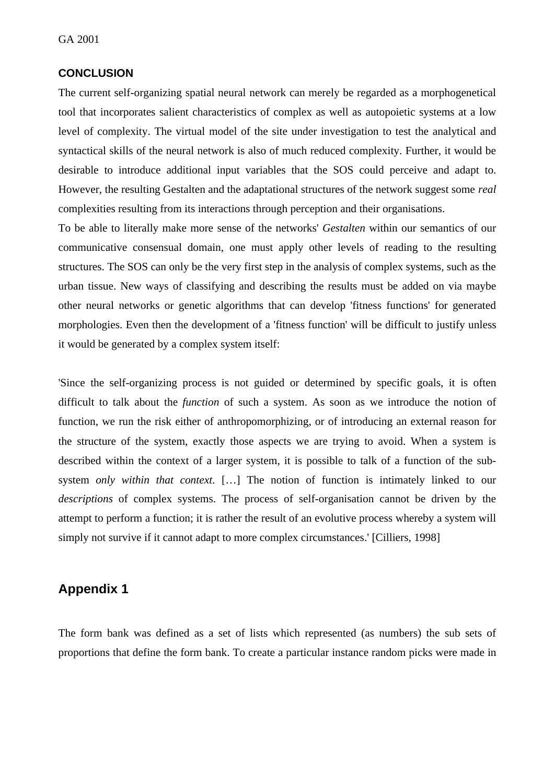#### **CONCLUSION**

The current self-organizing spatial neural network can merely be regarded as a morphogenetical tool that incorporates salient characteristics of complex as well as autopoietic systems at a low level of complexity. The virtual model of the site under investigation to test the analytical and syntactical skills of the neural network is also of much reduced complexity. Further, it would be desirable to introduce additional input variables that the SOS could perceive and adapt to. However, the resulting Gestalten and the adaptational structures of the network suggest some *real* complexities resulting from its interactions through perception and their organisations.

To be able to literally make more sense of the networks' *Gestalten* within our semantics of our communicative consensual domain, one must apply other levels of reading to the resulting structures. The SOS can only be the very first step in the analysis of complex systems, such as the urban tissue. New ways of classifying and describing the results must be added on via maybe other neural networks or genetic algorithms that can develop 'fitness functions' for generated morphologies. Even then the development of a 'fitness function' will be difficult to justify unless it would be generated by a complex system itself:

'Since the self-organizing process is not guided or determined by specific goals, it is often difficult to talk about the *function* of such a system. As soon as we introduce the notion of function, we run the risk either of anthropomorphizing, or of introducing an external reason for the structure of the system, exactly those aspects we are trying to avoid. When a system is described within the context of a larger system, it is possible to talk of a function of the subsystem *only within that context*. […] The notion of function is intimately linked to our *descriptions* of complex systems. The process of self-organisation cannot be driven by the attempt to perform a function; it is rather the result of an evolutive process whereby a system will simply not survive if it cannot adapt to more complex circumstances.' [Cilliers, 1998]

## **Appendix 1**

The form bank was defined as a set of lists which represented (as numbers) the sub sets of proportions that define the form bank. To create a particular instance random picks were made in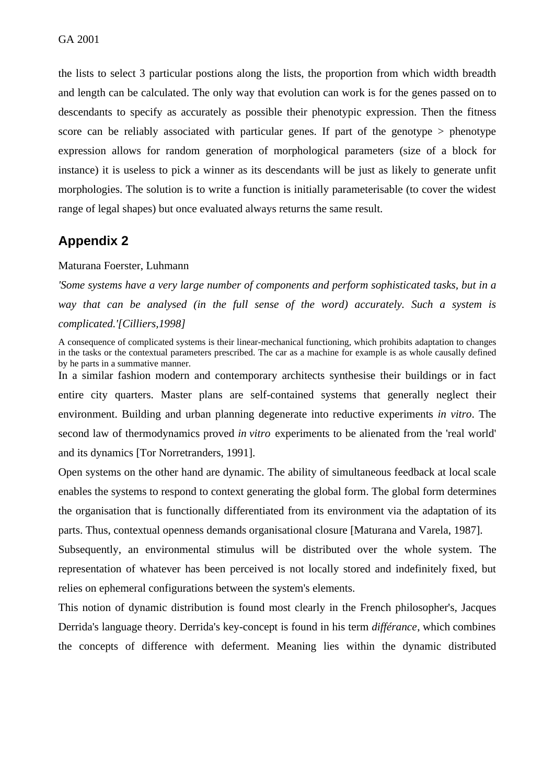the lists to select 3 particular postions along the lists, the proportion from which width breadth and length can be calculated. The only way that evolution can work is for the genes passed on to descendants to specify as accurately as possible their phenotypic expression. Then the fitness score can be reliably associated with particular genes. If part of the genotype > phenotype expression allows for random generation of morphological parameters (size of a block for instance) it is useless to pick a winner as its descendants will be just as likely to generate unfit morphologies. The solution is to write a function is initially parameterisable (to cover the widest range of legal shapes) but once evaluated always returns the same result.

## **Appendix 2**

#### Maturana Foerster, Luhmann

*'Some systems have a very large number of components and perform sophisticated tasks, but in a way that can be analysed (in the full sense of the word) accurately. Such a system is complicated.'[Cilliers,1998]*

A consequence of complicated systems is their linear-mechanical functioning, which prohibits adaptation to changes in the tasks or the contextual parameters prescribed. The car as a machine for example is as whole causally defined by he parts in a summative manner. In a similar fashion modern and contemporary architects synthesise their buildings or in fact entire city quarters. Master plans are self-contained systems that generally neglect their environment. Building and urban planning degenerate into reductive experiments *in vitro*. The second law of thermodynamics proved *in vitro* experiments to be alienated from the 'real world' and its dynamics [Tor Norretranders, 1991].

Open systems on the other hand are dynamic. The ability of simultaneous feedback at local scale enables the systems to respond to context generating the global form. The global form determines the organisation that is functionally differentiated from its environment via the adaptation of its parts. Thus, contextual openness demands organisational closure [Maturana and Varela, 1987].

Subsequently, an environmental stimulus will be distributed over the whole system. The representation of whatever has been perceived is not locally stored and indefinitely fixed, but relies on ephemeral configurations between the system's elements.

This notion of dynamic distribution is found most clearly in the French philosopher's, Jacques Derrida's language theory. Derrida's key-concept is found in his term *différance*, which combines the concepts of difference with deferment. Meaning lies within the dynamic distributed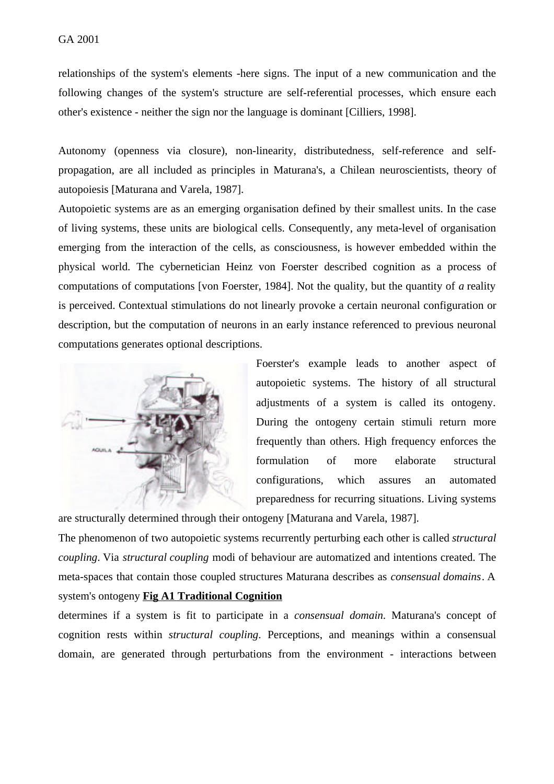relationships of the system's elements -here signs. The input of a new communication and the following changes of the system's structure are self-referential processes, which ensure each other's existence - neither the sign nor the language is dominant [Cilliers, 1998].

Autonomy (openness via closure), non-linearity, distributedness, self-reference and selfpropagation, are all included as principles in Maturana's, a Chilean neuroscientists, theory of autopoiesis [Maturana and Varela, 1987].

Autopoietic systems are as an emerging organisation defined by their smallest units. In the case of living systems, these units are biological cells. Consequently, any meta-level of organisation emerging from the interaction of the cells, as consciousness, is however embedded within the physical world. The cybernetician Heinz von Foerster described cognition as a process of computations of computations [von Foerster, 1984]. Not the quality, but the quantity of *a* reality is perceived. Contextual stimulations do not linearly provoke a certain neuronal configuration or description, but the computation of neurons in an early instance referenced to previous neuronal computations generates optional descriptions.



Foerster's example leads to another aspect of autopoietic systems. The history of all structural adjustments of a system is called its ontogeny. During the ontogeny certain stimuli return more frequently than others. High frequency enforces the formulation of more elaborate structural configurations, which assures an automated preparedness for recurring situations. Living systems

are structurally determined through their ontogeny [Maturana and Varela, 1987].

The phenomenon of two autopoietic systems recurrently perturbing each other is called *structural coupling*. Via *structural coupling* modi of behaviour are automatized and intentions created. The meta-spaces that contain those coupled structures Maturana describes as *consensual domains*. A system's ontogeny **Fig A1 Traditional Cognition**

determines if a system is fit to participate in a *consensual domain*. Maturana's concept of cognition rests within *structural coupling*. Perceptions, and meanings within a consensual domain, are generated through perturbations from the environment - interactions between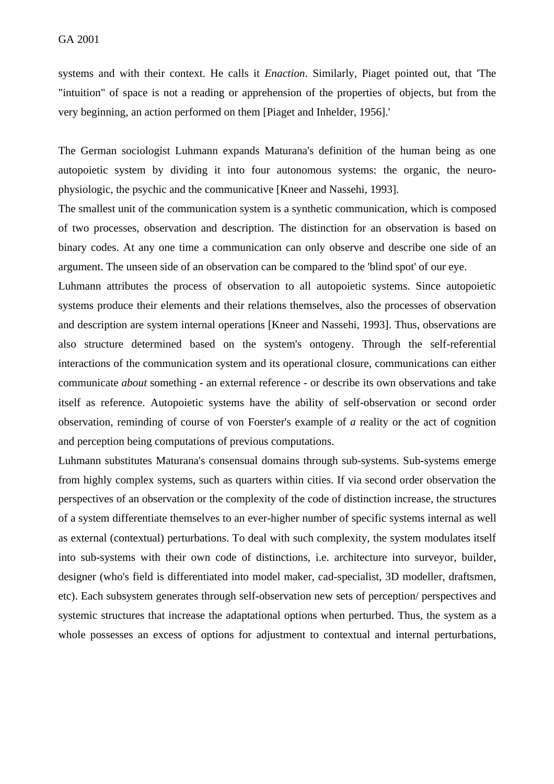systems and with their context. He calls it *Enaction*. Similarly, Piaget pointed out, that 'The "intuition" of space is not a reading or apprehension of the properties of objects, but from the very beginning, an action performed on them [Piaget and Inhelder, 1956].'

The German sociologist Luhmann expands Maturana's definition of the human being as one autopoietic system by dividing it into four autonomous systems: the organic, the neurophysiologic, the psychic and the communicative [Kneer and Nassehi, 1993].

The smallest unit of the communication system is a synthetic communication, which is composed of two processes, observation and description. The distinction for an observation is based on binary codes. At any one time a communication can only observe and describe one side of an argument. The unseen side of an observation can be compared to the 'blind spot' of our eye.

Luhmann attributes the process of observation to all autopoietic systems. Since autopoietic systems produce their elements and their relations themselves, also the processes of observation and description are system internal operations [Kneer and Nassehi, 1993]. Thus, observations are also structure determined based on the system's ontogeny. Through the self-referential interactions of the communication system and its operational closure, communications can either communicate *about* something - an external reference - or describe its own observations and take itself as reference. Autopoietic systems have the ability of self-observation or second order observation, reminding of course of von Foerster's example of *a* reality or the act of cognition and perception being computations of previous computations.

Luhmann substitutes Maturana's consensual domains through sub-systems. Sub-systems emerge from highly complex systems, such as quarters within cities. If via second order observation the perspectives of an observation or the complexity of the code of distinction increase, the structures of a system differentiate themselves to an ever-higher number of specific systems internal as well as external (contextual) perturbations. To deal with such complexity, the system modulates itself into sub-systems with their own code of distinctions, i.e. architecture into surveyor, builder, designer (who's field is differentiated into model maker, cad-specialist, 3D modeller, draftsmen, etc). Each subsystem generates through self-observation new sets of perception/ perspectives and systemic structures that increase the adaptational options when perturbed. Thus, the system as a whole possesses an excess of options for adjustment to contextual and internal perturbations,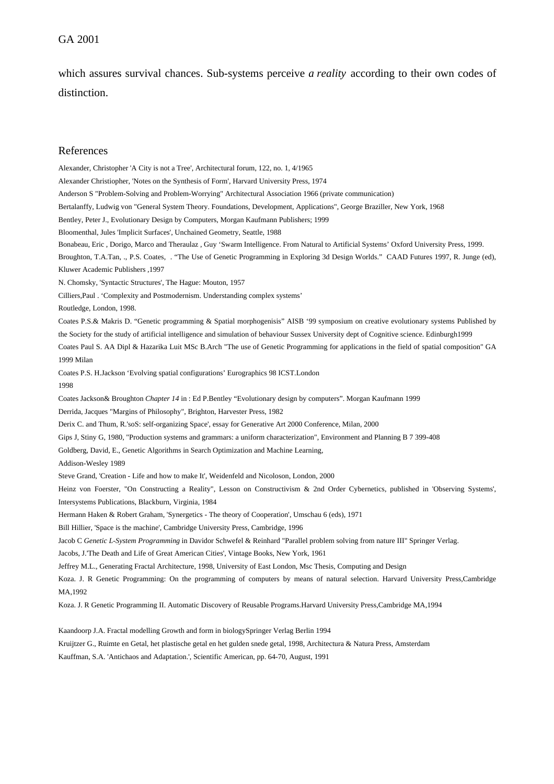#### GA 2001

which assures survival chances. Sub-systems perceive *a reality* according to their own codes of distinction.

#### References

Alexander, Christopher 'A City is not a Tree', Architectural forum, 122, no. 1, 4/1965 Alexander Christiopher, 'Notes on the Synthesis of Form', Harvard University Press, 1974 Anderson S "Problem-Solving and Problem-Worrying" Architectural Association 1966 (private communication) Bertalanffy, Ludwig von "General System Theory. Foundations, Development, Applications", George Braziller, New York, 1968 Bentley, Peter J., Evolutionary Design by Computers, Morgan Kaufmann Publishers; 1999 Bloomenthal, Jules 'Implicit Surfaces', Unchained Geometry, Seattle, 1988 Bonabeau, Eric , Dorigo, Marco and Theraulaz , Guy 'Swarm Intelligence. From Natural to Artificial Systems' Oxford University Press, 1999. Broughton, T.A.Tan, ., P.S. Coates, . "The Use of Genetic Programming in Exploring 3d Design Worlds." CAAD Futures 1997, R. Junge (ed), Kluwer Academic Publishers ,1997 N. Chomsky, 'Syntactic Structures', The Hague: Mouton, 1957 Cilliers,Paul . 'Complexity and Postmodernism. Understanding complex systems' Routledge, London, 1998. Coates P.S.& Makris D. "Genetic programming & Spatial morphogenisis" AISB '99 symposium on creative evolutionary systems Published by the Society for the study of artificial intelligence and simulation of behaviour Sussex University dept of Cognitive science. Edinburgh1999 Coates Paul S. AA Dipl & Hazarika Luit MSc B.Arch "The use of Genetic Programming for applications in the field of spatial composition" GA 1999 Milan Coates P.S. H.Jackson 'Evolving spatial configurations' Eurographics 98 ICST.London 1998 Coates Jackson& Broughton *Chapter 14* in : Ed P.Bentley "Evolutionary design by computers". Morgan Kaufmann 1999 Derrida, Jacques "Margins of Philosophy", Brighton, Harvester Press, 1982 Derix C. and Thum, R.'soS: self-organizing Space', essay for Generative Art 2000 Conference, Milan, 2000 Gips J, Stiny G, 1980, "Production systems and grammars: a uniform characterization", Environment and Planning B 7 399-408 Goldberg, David, E., Genetic Algorithms in Search Optimization and Machine Learning, Addison-Wesley 1989 Steve Grand, 'Creation - Life and how to make It', Weidenfeld and Nicoloson, London, 2000 Heinz von Foerster, "On Constructing a Reality", Lesson on Constructivism & 2nd Order Cybernetics, published in 'Observing Systems', Intersystems Publications, Blackburn, Virginia, 1984 Hermann Haken & Robert Graham, 'Synergetics - The theory of Cooperation', Umschau 6 (eds), 1971 Bill Hillier, 'Space is the machine', Cambridge University Press, Cambridge, 1996 Jacob C *Genetic L-System Programming* in Davidor Schwefel & Reinhard "Parallel problem solving from nature III" Springer Verlag. Jacobs, J.'The Death and Life of Great American Cities', Vintage Books, New York, 1961 Jeffrey M.L., Generating Fractal Architecture, 1998, University of East London, Msc Thesis, Computing and Design Koza. J. R Genetic Programming: On the programming of computers by means of natural selection. Harvard University Press,Cambridge MA,1992 Koza. J. R Genetic Programming II. Automatic Discovery of Reusable Programs.Harvard University Press,Cambridge MA,1994

Kaandoorp J.A. Fractal modelling Growth and form in biologySpringer Verlag Berlin 1994

Kruijtzer G., Ruimte en Getal, het plastische getal en het gulden snede getal, 1998, Architectura & Natura Press, Amsterdam

Kauffman, S.A. 'Antichaos and Adaptation.', Scientific American, pp. 64-70, August, 1991